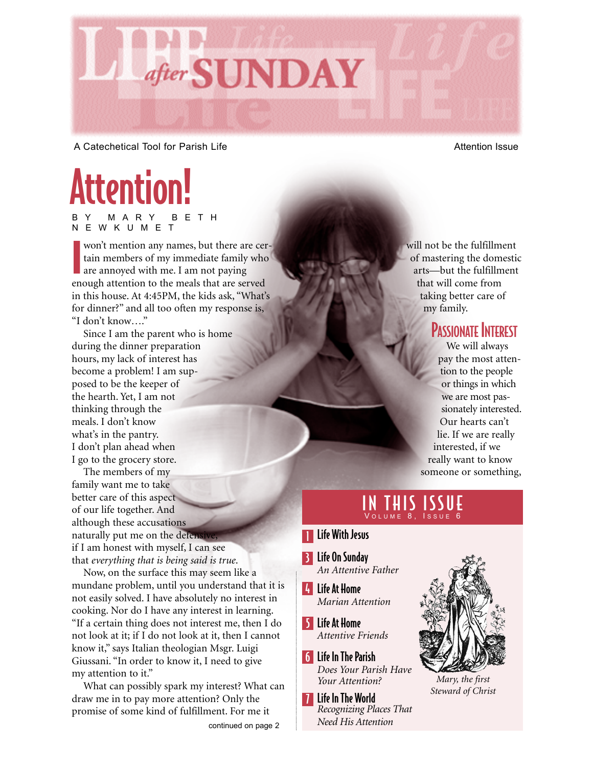

A Catechetical Tool for Parish Life Attention Issue

# Attention!

BY MARY BETH NEWKUMET

won't mention any names, but there are ce<br>tain members of my immediate family whe<br>are annoyed with me. I am not paying<br>enough attention to the meals that are served won't mention any names, but there are certain members of my immediate family who are annoyed with me. I am not paying in this house. At 4:45PM, the kids ask, "What's for dinner?" and all too often my response is, "I don't know…."

Since I am the parent who is home during the dinner preparation hours, my lack of interest has become a problem! I am supposed to be the keeper of the hearth. Yet, I am not thinking through the meals. I don't know what's in the pantry. I don't plan ahead when I go to the grocery store.

The members of my family want me to take better care of this aspect of our life together. And although these accusations naturally put me on the defensi if I am honest with myself, I can see that *everything that is being said is true*.

Now, on the surface this may seem like a mundane problem, until you understand that it is not easily solved. I have absolutely no interest in cooking. Nor do I have any interest in learning. "If a certain thing does not interest me, then I do not look at it; if I do not look at it, then I cannot know it," says Italian theologian Msgr. Luigi Giussani. "In order to know it, I need to give my attention to it."

What can possibly spark my interest? What can draw me in to pay more attention? Only the promise of some kind of fulfillment. For me it

will not be the fulfillment of mastering the domestic arts—but the fulfillment that will come from taking better care of my family.

#### PASSIONATE INTEREST

We will always pay the most attention to the people or things in which we are most passionately interested. Our hearts can't lie. If we are really interested, if we really want to know someone or something,

#### **THIS** VOLUME 8, ISSUE 6

- **T** Life With Jesus
- 3 Life On Sunday *An Attentive Father*
- 4 Life At Home *Marian Attention*
- 5 Life At Home *Attentive Friends*
- 6 Life In The Parish *Does Your Parish Have Your Attention?*
- **7** Life In The World *Recognizing Places That Need His Attention*



*Mary, the first Steward of Christ*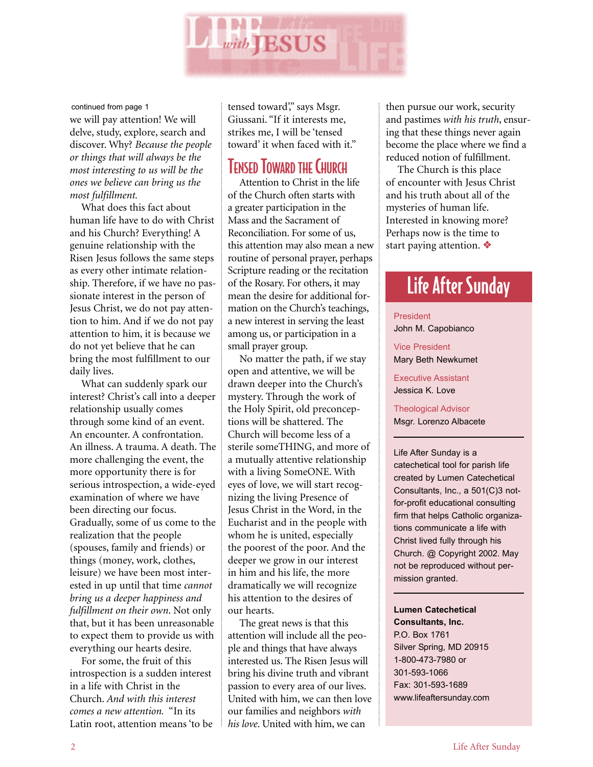

#### continued from page 1

we will pay attention! We will delve, study, explore, search and discover. Why? *Because the people or things that will always be the most interesting to us will be the ones we believe can bring us the most fulfillment.*

What does this fact about human life have to do with Christ and his Church? Everything! A genuine relationship with the Risen Jesus follows the same steps as every other intimate relationship. Therefore, if we have no passionate interest in the person of Jesus Christ, we do not pay attention to him. And if we do not pay attention to him, it is because we do not yet believe that he can bring the most fulfillment to our daily lives.

What can suddenly spark our interest? Christ's call into a deeper relationship usually comes through some kind of an event. An encounter. A confrontation. An illness. A trauma. A death. The more challenging the event, the more opportunity there is for serious introspection, a wide-eyed examination of where we have been directing our focus. Gradually, some of us come to the realization that the people (spouses, family and friends) or things (money, work, clothes, leisure) we have been most interested in up until that time *cannot bring us a deeper happiness and fulfillment on their own*. Not only that, but it has been unreasonable to expect them to provide us with everything our hearts desire.

For some, the fruit of this introspection is a sudden interest in a life with Christ in the Church. *And with this interest comes a new attention.* "In its Latin root, attention means 'to be tensed toward'," says Msgr. Giussani. "If it interests me, strikes me, I will be 'tensed toward' it when faced with it."

#### **TENSED TOWARD THE CHURCH**

Attention to Christ in the life of the Church often starts with a greater participation in the Mass and the Sacrament of Reconciliation. For some of us, this attention may also mean a new routine of personal prayer, perhaps Scripture reading or the recitation of the Rosary. For others, it may mean the desire for additional formation on the Church's teachings, a new interest in serving the least among us, or participation in a small prayer group.

No matter the path, if we stay open and attentive, we will be drawn deeper into the Church's mystery. Through the work of the Holy Spirit, old preconceptions will be shattered. The Church will become less of a sterile someTHING, and more of a mutually attentive relationship with a living SomeONE. With eyes of love, we will start recognizing the living Presence of Jesus Christ in the Word, in the Eucharist and in the people with whom he is united, especially the poorest of the poor. And the deeper we grow in our interest in him and his life, the more dramatically we will recognize his attention to the desires of our hearts.

The great news is that this attention will include all the people and things that have always interested us. The Risen Jesus will bring his divine truth and vibrant passion to every area of our lives. United with him, we can then love our families and neighbors *with his love*. United with him, we can

then pursue our work, security and pastimes *with his truth*, ensuring that these things never again become the place where we find a reduced notion of fulfillment.

The Church is this place of encounter with Jesus Christ and his truth about all of the mysteries of human life. Interested in knowing more? Perhaps now is the time to start paying attention. ❖

# Life After Sunday

#### President

John M. Capobianco

Vice President Mary Beth Newkumet

Executive Assistant Jessica K. Love

Theological Advisor Msgr. Lorenzo Albacete

Life After Sunday is a catechetical tool for parish life created by Lumen Catechetical Consultants, Inc., a 501(C)3 notfor-profit educational consulting firm that helps Catholic organizations communicate a life with Christ lived fully through his Church. @ Copyright 2002. May not be reproduced without permission granted.

**Lumen Catechetical Consultants, Inc.** P.O. Box 1761 Silver Spring, MD 20915 1-800-473-7980 or 301-593-1066 Fax: 301-593-1689 www.lifeaftersunday.com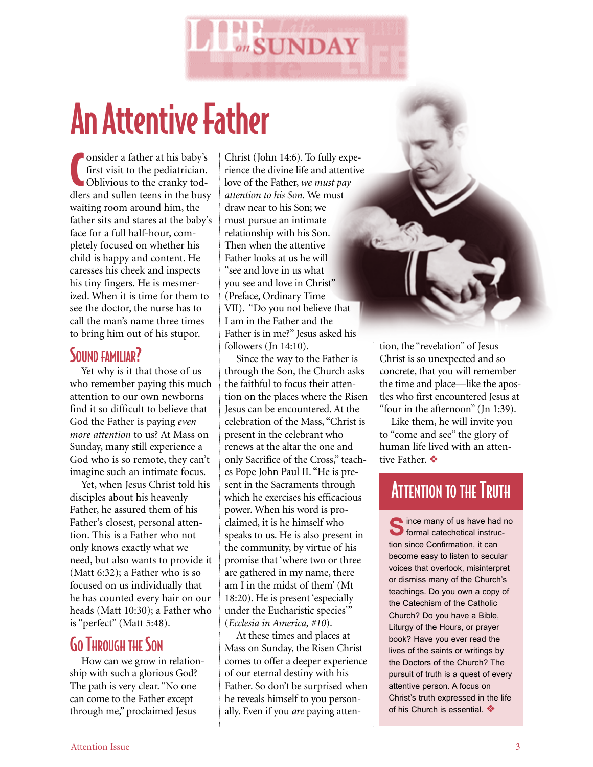

# An Attentive Father

C **Ponsider a father at his baby's** first visit to the pediatrician. Oblivious to the cranky toddlers and sullen teens in the busy waiting room around him, the father sits and stares at the baby's face for a full half-hour, completely focused on whether his child is happy and content. He caresses his cheek and inspects his tiny fingers. He is mesmerized. When it is time for them to see the doctor, the nurse has to call the man's name three times to bring him out of his stupor.

#### SOUND FAMILIAR?

Yet why is it that those of us who remember paying this much attention to our own newborns find it so difficult to believe that God the Father is paying *even more attention* to us? At Mass on Sunday, many still experience a God who is so remote, they can't imagine such an intimate focus.

Yet, when Jesus Christ told his disciples about his heavenly Father, he assured them of his Father's closest, personal attention. This is a Father who not only knows exactly what we need, but also wants to provide it (Matt 6:32); a Father who is so focused on us individually that he has counted every hair on our heads (Matt 10:30); a Father who is "perfect" (Matt 5:48).

#### **GO THROUGH THE SON**

How can we grow in relationship with such a glorious God? The path is very clear. "No one can come to the Father except through me," proclaimed Jesus

Christ (John 14:6). To fully experience the divine life and attentive love of the Father, *we must pay attention to his Son.* We must draw near to his Son; we must pursue an intimate relationship with his Son. Then when the attentive Father looks at us he will "see and love in us what you see and love in Christ" (Preface, Ordinary Time VII). "Do you not believe that I am in the Father and the Father is in me?" Jesus asked his followers (Jn 14:10).

Since the way to the Father is through the Son, the Church asks the faithful to focus their attention on the places where the Risen Jesus can be encountered. At the celebration of the Mass, "Christ is present in the celebrant who renews at the altar the one and only Sacrifice of the Cross," teaches Pope John Paul II. "He is present in the Sacraments through which he exercises his efficacious power. When his word is proclaimed, it is he himself who speaks to us. He is also present in the community, by virtue of his promise that 'where two or three are gathered in my name, there am I in the midst of them' (Mt 18:20). He is present 'especially under the Eucharistic species'" (*Ecclesia in America, #10*).

At these times and places at Mass on Sunday, the Risen Christ comes to offer a deeper experience of our eternal destiny with his Father. So don't be surprised when he reveals himself to you personally. Even if you *are* paying attention, the "revelation" of Jesus Christ is so unexpected and so concrete, that you will remember the time and place—like the apostles who first encountered Jesus at "four in the afternoon" (Jn 1:39).

Like them, he will invite you to "come and see" the glory of human life lived with an attentive Father. ❖

## **ATTENTION TO THE TRUTH**

**S**ince many of us have had no formal catechetical instruction since Confirmation, it can become easy to listen to secular voices that overlook, misinterpret or dismiss many of the Church's teachings. Do you own a copy of the Catechism of the Catholic Church? Do you have a Bible, Liturgy of the Hours, or prayer book? Have you ever read the lives of the saints or writings by the Doctors of the Church? The pursuit of truth is a quest of every attentive person. A focus on Christ's truth expressed in the life of his Church is essential. ❖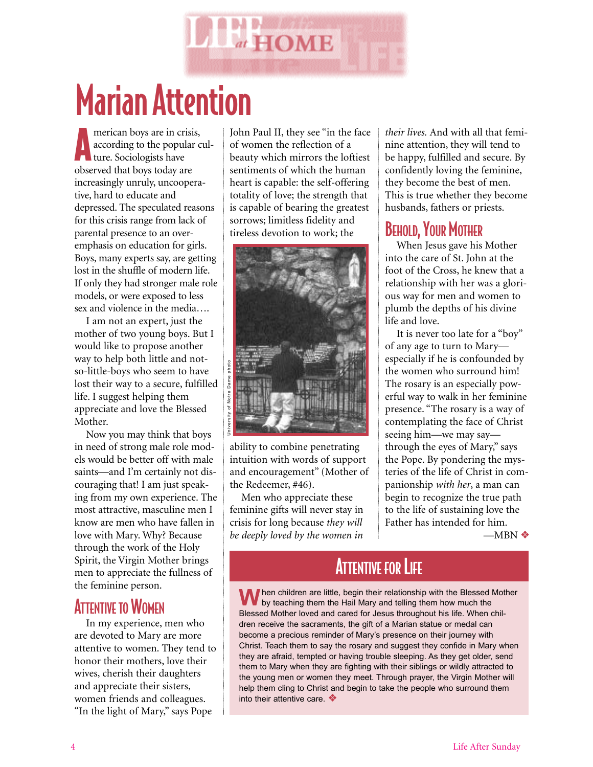

# Marian Attention

merican boys are in cr<br>according to the popu merican boys are in crisis, according to the popular culobserved that boys today are increasingly unruly, uncooperative, hard to educate and depressed. The speculated reasons for this crisis range from lack of parental presence to an overemphasis on education for girls. Boys, many experts say, are getting lost in the shuffle of modern life. If only they had stronger male role models, or were exposed to less sex and violence in the media….

I am not an expert, just the mother of two young boys. But I would like to propose another way to help both little and notso-little-boys who seem to have lost their way to a secure, fulfilled life. I suggest helping them appreciate and love the Blessed Mother.

Now you may think that boys in need of strong male role models would be better off with male saints—and I'm certainly not discouraging that! I am just speaking from my own experience. The most attractive, masculine men I know are men who have fallen in love with Mary. Why? Because through the work of the Holy Spirit, the Virgin Mother brings men to appreciate the fullness of the feminine person.

#### **ATTENTIVE TO WOMEN**

In my experience, men who are devoted to Mary are more attentive to women. They tend to honor their mothers, love their wives, cherish their daughters and appreciate their sisters, women friends and colleagues. "In the light of Mary," says Pope

John Paul II, they see "in the face of women the reflection of a beauty which mirrors the loftiest sentiments of which the human heart is capable: the self-offering totality of love; the strength that is capable of bearing the greatest sorrows; limitless fidelity and tireless devotion to work; the



ability to combine penetrating intuition with words of support and encouragement" (Mother of the Redeemer, #46).

Men who appreciate these feminine gifts will never stay in crisis for long because *they will be deeply loved by the women in*

*their lives.* And with all that feminine attention, they will tend to be happy, fulfilled and secure. By confidently loving the feminine, they become the best of men. This is true whether they become husbands, fathers or priests.

#### BEHOLD, YOUR MOTHER

When Jesus gave his Mother into the care of St. John at the foot of the Cross, he knew that a relationship with her was a glorious way for men and women to plumb the depths of his divine life and love.

It is never too late for a "boy" of any age to turn to Mary especially if he is confounded by the women who surround him! The rosary is an especially powerful way to walk in her feminine presence. "The rosary is a way of contemplating the face of Christ seeing him—we may say through the eyes of Mary," says the Pope. By pondering the mysteries of the life of Christ in companionship *with her*, a man can begin to recognize the true path to the life of sustaining love the Father has intended for him.

 $-MBN$  ❖

## **ATTENTIVE FOR LIFE**

**W**hen children are little, begin their relationship with the Blessed Mother by teaching them the Hail Mary and telling them how much the Blessed Mother loved and cared for Jesus throughout his life. When children receive the sacraments, the gift of a Marian statue or medal can become a precious reminder of Mary's presence on their journey with Christ. Teach them to say the rosary and suggest they confide in Mary when they are afraid, tempted or having trouble sleeping. As they get older, send them to Mary when they are fighting with their siblings or wildly attracted to the young men or women they meet. Through prayer, the Virgin Mother will help them cling to Christ and begin to take the people who surround them into their attentive care. ❖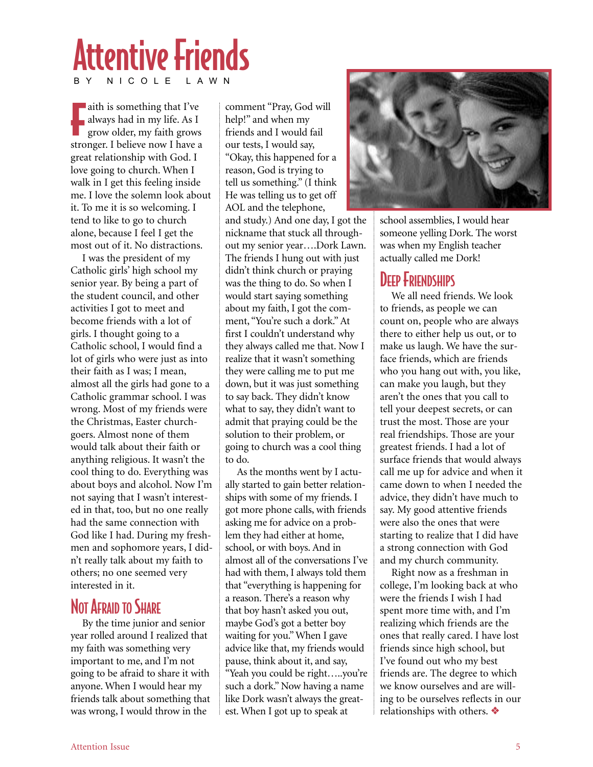# Attentive Friends BY NICOLE LAWN

F aith is something that I've always had in my life. As I grow older, my faith grows stronger. I believe now I have a great relationship with God. I love going to church. When I walk in I get this feeling inside me. I love the solemn look about it. To me it is so welcoming. I tend to like to go to church alone, because I feel I get the most out of it. No distractions.

I was the president of my Catholic girls' high school my senior year. By being a part of the student council, and other activities I got to meet and become friends with a lot of girls. I thought going to a Catholic school, I would find a lot of girls who were just as into their faith as I was; I mean, almost all the girls had gone to a Catholic grammar school. I was wrong. Most of my friends were the Christmas, Easter churchgoers. Almost none of them would talk about their faith or anything religious. It wasn't the cool thing to do. Everything was about boys and alcohol. Now I'm not saying that I wasn't interested in that, too, but no one really had the same connection with God like I had. During my freshmen and sophomore years, I didn't really talk about my faith to others; no one seemed very interested in it.

### NOT AFRAID TO SHARE

By the time junior and senior year rolled around I realized that my faith was something very important to me, and I'm not going to be afraid to share it with anyone. When I would hear my friends talk about something that was wrong, I would throw in the

comment "Pray, God will help!" and when my friends and I would fail our tests, I would say, "Okay, this happened for a reason, God is trying to tell us something." (I think He was telling us to get off AOL and the telephone,

and study.) And one day, I got the nickname that stuck all throughout my senior year….Dork Lawn. The friends I hung out with just didn't think church or praying was the thing to do. So when I would start saying something about my faith, I got the comment, "You're such a dork." At first I couldn't understand why they always called me that. Now I realize that it wasn't something they were calling me to put me down, but it was just something to say back. They didn't know what to say, they didn't want to admit that praying could be the solution to their problem, or going to church was a cool thing to do.

As the months went by I actually started to gain better relationships with some of my friends. I got more phone calls, with friends asking me for advice on a problem they had either at home, school, or with boys. And in almost all of the conversations I've had with them, I always told them that "everything is happening for a reason. There's a reason why that boy hasn't asked you out, maybe God's got a better boy waiting for you." When I gave advice like that, my friends would pause, think about it, and say, "Yeah you could be right…..you're such a dork." Now having a name like Dork wasn't always the greatest. When I got up to speak at



school assemblies, I would hear someone yelling Dork. The worst was when my English teacher actually called me Dork!

#### DEEP FRIENDSHIPS

We all need friends. We look to friends, as people we can count on, people who are always there to either help us out, or to make us laugh. We have the surface friends, which are friends who you hang out with, you like, can make you laugh, but they aren't the ones that you call to tell your deepest secrets, or can trust the most. Those are your real friendships. Those are your greatest friends. I had a lot of surface friends that would always call me up for advice and when it came down to when I needed the advice, they didn't have much to say. My good attentive friends were also the ones that were starting to realize that I did have a strong connection with God and my church community.

Right now as a freshman in college, I'm looking back at who were the friends I wish I had spent more time with, and I'm realizing which friends are the ones that really cared. I have lost friends since high school, but I've found out who my best friends are. The degree to which we know ourselves and are willing to be ourselves reflects in our relationships with others. ❖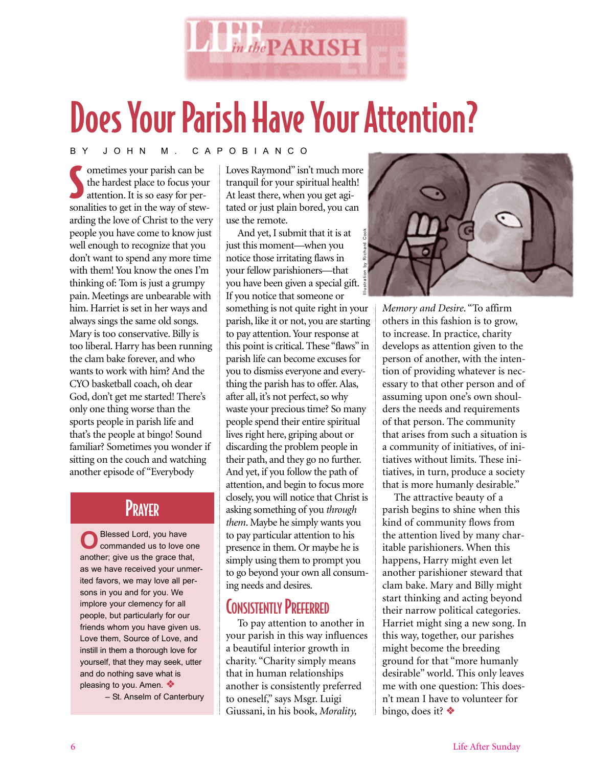

# Does Your Parish Have Your Attention?

BY JOHN M. CAPOBIANCO

Solution of the hardest place to focus your attention. It is so easy for personalities to get in the way of stewometimes your parish can be the hardest place to focus your attention. It is so easy for perarding the love of Christ to the very people you have come to know just well enough to recognize that you don't want to spend any more time with them! You know the ones I'm thinking of: Tom is just a grumpy pain. Meetings are unbearable with him. Harriet is set in her ways and always sings the same old songs. Mary is too conservative. Billy is too liberal. Harry has been running the clam bake forever, and who wants to work with him? And the CYO basketball coach, oh dear God, don't get me started! There's only one thing worse than the sports people in parish life and that's the people at bingo! Sound familiar? Sometimes you wonder if sitting on the couch and watching another episode of "Everybody

### **PRAYER**

**O**Blessed Lord, you have<br> **O**commanded us to love one another; give us the grace that, as we have received your unmerited favors, we may love all persons in you and for you. We implore your clemency for all people, but particularly for our friends whom you have given us. Love them, Source of Love, and instill in them a thorough love for yourself, that they may seek, utter and do nothing save what is pleasing to you. Amen. ❖

– St. Anselm of Canterbury

Loves Raymond" isn't much more tranquil for your spiritual health! At least there, when you get agitated or just plain bored, you can use the remote.

And yet, I submit that it is at just this moment—when you notice those irritating flaws in your fellow parishioners—that you have been given a special gift. If you notice that someone or something is not quite right in your parish, like it or not, you are starting to pay attention. Your response at this point is critical. These "flaws" in parish life can become excuses for you to dismiss everyone and everything the parish has to offer. Alas, after all, it's not perfect, so why waste your precious time? So many people spend their entire spiritual lives right here, griping about or discarding the problem people in their path, and they go no further. And yet, if you follow the path of attention, and begin to focus more closely, you will notice that Christ is asking something of you *through them*. Maybe he simply wants you to pay particular attention to his presence in them. Or maybe he is simply using them to prompt you to go beyond your own all consuming needs and desires. Illustration by Richard Cook

## **CONSISTENTLY PREFERRED**

To pay attention to another in your parish in this way influences a beautiful interior growth in charity. "Charity simply means that in human relationships another is consistently preferred to oneself," says Msgr. Luigi Giussani, in his book, *Morality,*



*Memory and Desire*. "To affirm others in this fashion is to grow, to increase. In practice, charity develops as attention given to the person of another, with the intention of providing whatever is necessary to that other person and of assuming upon one's own shoulders the needs and requirements of that person. The community that arises from such a situation is a community of initiatives, of initiatives without limits. These initiatives, in turn, produce a society that is more humanly desirable."

The attractive beauty of a parish begins to shine when this kind of community flows from the attention lived by many charitable parishioners. When this happens, Harry might even let another parishioner steward that clam bake. Mary and Billy might start thinking and acting beyond their narrow political categories. Harriet might sing a new song. In this way, together, our parishes might become the breeding ground for that "more humanly desirable" world. This only leaves me with one question: This doesn't mean I have to volunteer for bingo, does it? ❖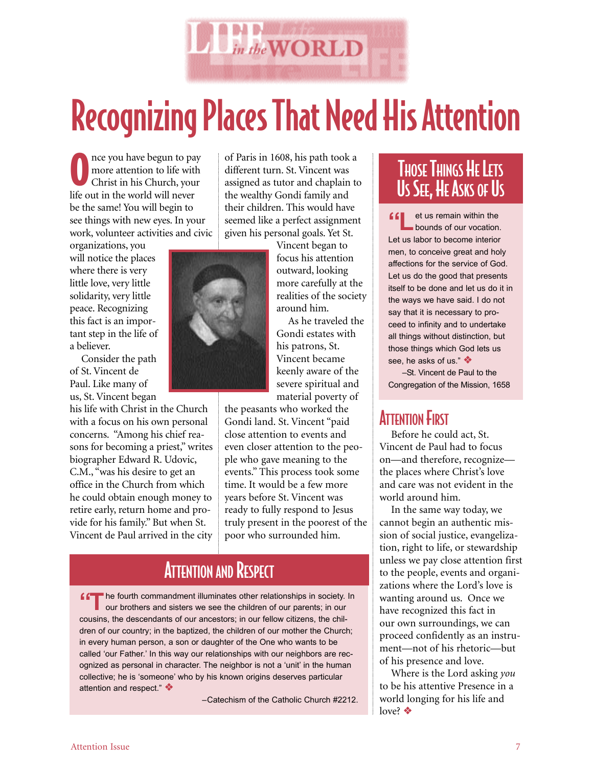

# Recognizing Places That Need His Attention

O nce you have begun to pay more attention to life with Christ in his Church, your life out in the world will never be the same! You will begin to see things with new eyes. In your work, volunteer activities and civic

organizations, you will notice the places where there is very little love, very little solidarity, very little peace. Recognizing this fact is an important step in the life of a believer.

Consider the path of St. Vincent de Paul. Like many of us, St. Vincent began

his life with Christ in the Church with a focus on his own personal concerns. "Among his chief reasons for becoming a priest," writes biographer Edward R. Udovic, C.M., "was his desire to get an office in the Church from which he could obtain enough money to retire early, return home and provide for his family." But when St. Vincent de Paul arrived in the city of Paris in 1608, his path took a different turn. St. Vincent was assigned as tutor and chaplain to the wealthy Gondi family and their children. This would have seemed like a perfect assignment given his personal goals. Yet St.



Vincent began to focus his attention outward, looking more carefully at the realities of the society around him.

As he traveled the Gondi estates with his patrons, St. Vincent became keenly aware of the severe spiritual and material poverty of

the peasants who worked the Gondi land. St. Vincent "paid close attention to events and even closer attention to the people who gave meaning to the events." This process took some time. It would be a few more years before St. Vincent was ready to fully respond to Jesus truly present in the poorest of the poor who surrounded him.

## **ATTENTION AND RESPECT**

**f** fact the fourth commandment illuminates other relationships in society. In our brothers and sisters we see the children of our parents; in our cousins, the descendants of our ancestors; in our fellow citizens, the children of our country; in the baptized, the children of our mother the Church; in every human person, a son or daughter of the One who wants to be called 'our Father.' In this way our relationships with our neighbors are recognized as personal in character. The neighbor is not a 'unit' in the human collective; he is 'someone' who by his known origins deserves particular attention and respect." ❖

–Catechism of the Catholic Church #2212.

### **THOSE THINGS HE LETS** US SEE, HE ASKS OF US

**ff** et us remain within the bounds of our vocation. Let us labor to become interior men, to conceive great and holy affections for the service of God. Let us do the good that presents itself to be done and let us do it in the ways we have said. I do not say that it is necessary to proceed to infinity and to undertake all things without distinction, but those things which God lets us see, he asks of us " ❖

–St. Vincent de Paul to the Congregation of the Mission, 1658

#### **ATTENTION FIRST**

Before he could act, St. Vincent de Paul had to focus on—and therefore, recognize the places where Christ's love and care was not evident in the world around him.

In the same way today, we cannot begin an authentic mission of social justice, evangelization, right to life, or stewardship unless we pay close attention first to the people, events and organizations where the Lord's love is wanting around us. Once we have recognized this fact in our own surroundings, we can proceed confidently as an instrument—not of his rhetoric—but of his presence and love.

Where is the Lord asking *you* to be his attentive Presence in a world longing for his life and love? ❖